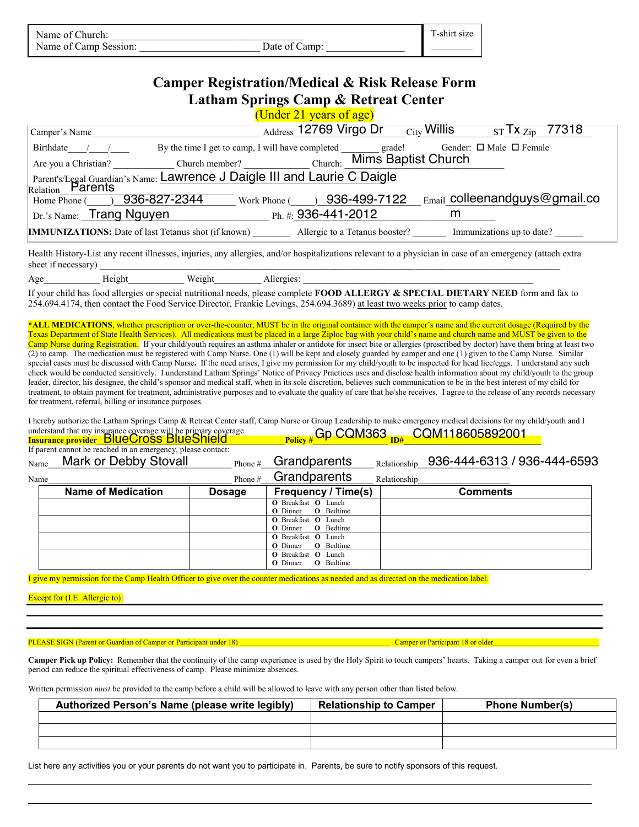| Name of Church:       |               | m.<br>shirt size |  |
|-----------------------|---------------|------------------|--|
| Name of Camp Session: | Date of Camp: |                  |  |

## **Camper Registration/Medical & Risk Release Form Latham Springs Camp & Retreat Center**

(Under 21 years of age)

|                                                                                                                                                                                                                                                                                                                                                                                                                                                                                                                                                                                                                                                                                                                                                                                                                                                                                                                                                                                                                                                                                                                                                                                                                                                                                                                                                                                                                                                                 | $\frac{\text{Address}}{\text{Address}}$ 12769 Virgo Dr $\frac{\text{City}}{\text{City}}$ Willis $\frac{\text{ST}}{\text{Tr } Z_{\text{lip}}}$ 77318 |  |  |  |  |
|-----------------------------------------------------------------------------------------------------------------------------------------------------------------------------------------------------------------------------------------------------------------------------------------------------------------------------------------------------------------------------------------------------------------------------------------------------------------------------------------------------------------------------------------------------------------------------------------------------------------------------------------------------------------------------------------------------------------------------------------------------------------------------------------------------------------------------------------------------------------------------------------------------------------------------------------------------------------------------------------------------------------------------------------------------------------------------------------------------------------------------------------------------------------------------------------------------------------------------------------------------------------------------------------------------------------------------------------------------------------------------------------------------------------------------------------------------------------|-----------------------------------------------------------------------------------------------------------------------------------------------------|--|--|--|--|
| Camper's Name                                                                                                                                                                                                                                                                                                                                                                                                                                                                                                                                                                                                                                                                                                                                                                                                                                                                                                                                                                                                                                                                                                                                                                                                                                                                                                                                                                                                                                                   |                                                                                                                                                     |  |  |  |  |
| Birthdate / / / By the time I get to camp, I will have completed grade!                                                                                                                                                                                                                                                                                                                                                                                                                                                                                                                                                                                                                                                                                                                                                                                                                                                                                                                                                                                                                                                                                                                                                                                                                                                                                                                                                                                         | Gender: $\Box$ Male $\Box$ Female                                                                                                                   |  |  |  |  |
|                                                                                                                                                                                                                                                                                                                                                                                                                                                                                                                                                                                                                                                                                                                                                                                                                                                                                                                                                                                                                                                                                                                                                                                                                                                                                                                                                                                                                                                                 |                                                                                                                                                     |  |  |  |  |
| Parent's/Legal Guardian's Name: Lawrence J Daigle III and Laurie C Daigle                                                                                                                                                                                                                                                                                                                                                                                                                                                                                                                                                                                                                                                                                                                                                                                                                                                                                                                                                                                                                                                                                                                                                                                                                                                                                                                                                                                       |                                                                                                                                                     |  |  |  |  |
| Relation Parents                                                                                                                                                                                                                                                                                                                                                                                                                                                                                                                                                                                                                                                                                                                                                                                                                                                                                                                                                                                                                                                                                                                                                                                                                                                                                                                                                                                                                                                |                                                                                                                                                     |  |  |  |  |
|                                                                                                                                                                                                                                                                                                                                                                                                                                                                                                                                                                                                                                                                                                                                                                                                                                                                                                                                                                                                                                                                                                                                                                                                                                                                                                                                                                                                                                                                 | Home Phone () 936-827-2344 Work Phone () 936-499-7122 Email colleenandguys@gmail.co                                                                 |  |  |  |  |
| Dr.'s Name: Trang Nguyen Ph. #: 936-441-2012                                                                                                                                                                                                                                                                                                                                                                                                                                                                                                                                                                                                                                                                                                                                                                                                                                                                                                                                                                                                                                                                                                                                                                                                                                                                                                                                                                                                                    | m                                                                                                                                                   |  |  |  |  |
|                                                                                                                                                                                                                                                                                                                                                                                                                                                                                                                                                                                                                                                                                                                                                                                                                                                                                                                                                                                                                                                                                                                                                                                                                                                                                                                                                                                                                                                                 | IMMUNIZATIONS: Date of last Tetanus shot (if known) _________ Allergic to a Tetanus booster? _______ Immunizations up to date? ______               |  |  |  |  |
| Health History-List any recent illnesses, injuries, any allergies, and/or hospitalizations relevant to a physician in case of an emergency (attach extra<br>sheet if necessary)                                                                                                                                                                                                                                                                                                                                                                                                                                                                                                                                                                                                                                                                                                                                                                                                                                                                                                                                                                                                                                                                                                                                                                                                                                                                                 |                                                                                                                                                     |  |  |  |  |
|                                                                                                                                                                                                                                                                                                                                                                                                                                                                                                                                                                                                                                                                                                                                                                                                                                                                                                                                                                                                                                                                                                                                                                                                                                                                                                                                                                                                                                                                 |                                                                                                                                                     |  |  |  |  |
| If your child has food allergies or special nutritional needs, please complete FOOD ALLERGY & SPECIAL DIETARY NEED form and fax to<br>254.694.4174, then contact the Food Service Director, Frankie Levings, 254.694.3689) at least two weeks prior to camp dates.                                                                                                                                                                                                                                                                                                                                                                                                                                                                                                                                                                                                                                                                                                                                                                                                                                                                                                                                                                                                                                                                                                                                                                                              |                                                                                                                                                     |  |  |  |  |
| *ALL MEDICATIONS, whether prescription or over-the-counter, MUST be in the original container with the camper's name and the current dosage (Required by the<br>Texas Department of State Health Services). All medications must be placed in a large Ziploc bag with your child's name and church name and MUST be given to the<br>Camp Nurse during Registration. If your child/youth requires an asthma inhaler or antidote for insect bite or allergies (prescribed by doctor) have them bring at least two<br>(2) to camp. The medication must be registered with Camp Nurse. One (1) will be kept and closely guarded by camper and one (1) given to the Camp Nurse. Similar<br>special cases must be discussed with Camp Nurse. If the need arises, I give my permission for my child/youth to be inspected for head lice/eggs. I understand any such<br>check would be conducted sensitively. I understand Latham Springs' Notice of Privacy Practices uses and disclose health information about my child/youth to the group<br>leader, director, his designee, the child's sponsor and medical staff, when in its sole discretion, believes such communication to be in the best interest of my child for<br>treatment, to obtain payment for treatment, administrative purposes and to evaluate the quality of care that he/she receives. I agree to the release of any records necessary<br>for treatment, referral, billing or insurance purposes. |                                                                                                                                                     |  |  |  |  |
| I hereby authorize the Latham Springs Camp & Retreat Center staff, Camp Nurse or Group Leadership to make emergency medical decisions for my child/youth and I<br>understand that my insurance coverage will be primary coverage.<br>Insurance provider_BlueCross_BlueShield Policy # Gp_CQM363 <sub>ID#_</sub> CQM118605892001                                                                                                                                                                                                                                                                                                                                                                                                                                                                                                                                                                                                                                                                                                                                                                                                                                                                                                                                                                                                                                                                                                                                 |                                                                                                                                                     |  |  |  |  |

| Insurance provider BIUECTOSS BIUESNIEIO |                                                              | $P_{\text{olicy}\#}$ $\cup$ $\cup$ $\in$ $\mathbb{R}^+$ $\cup$ $\infty$ $\mathbb{R}^+$ $\cup$ $\infty$ $\in$ $\mathbb{R}^+$ |                                     |              |                             |  |
|-----------------------------------------|--------------------------------------------------------------|-----------------------------------------------------------------------------------------------------------------------------|-------------------------------------|--------------|-----------------------------|--|
|                                         | If parent cannot be reached in an emergency, please contact: |                                                                                                                             |                                     |              |                             |  |
| Name                                    | Mark or Debby Stovall                                        | Phone #                                                                                                                     | Grandparents                        | Relationship | 936-444-6313 / 936-444-6593 |  |
| Name                                    | Harry or Debbie Milstead                                     | Phone #                                                                                                                     | Grandparents                        | Relationship |                             |  |
|                                         | <b>Name of Medication</b>                                    | <b>Dosage</b>                                                                                                               | <b>Frequency / Time(s)</b>          |              | <b>Comments</b>             |  |
|                                         |                                                              |                                                                                                                             | <b>O</b> Breakfast <b>O</b> Lunch   |              |                             |  |
|                                         |                                                              |                                                                                                                             | <b>O</b> Bedtime<br><b>O</b> Dinner |              |                             |  |
|                                         |                                                              |                                                                                                                             | <b>O</b> Breakfast <b>O</b> Lunch   |              |                             |  |
|                                         |                                                              |                                                                                                                             | <b>O</b> Bedtime<br><b>O</b> Dinner |              |                             |  |
|                                         |                                                              |                                                                                                                             | <b>O</b> Breakfast <b>O</b> Lunch   |              |                             |  |
|                                         |                                                              |                                                                                                                             | <b>O</b> Bedtime<br><b>O</b> Dinner |              |                             |  |
|                                         |                                                              |                                                                                                                             | <b>O</b> Breakfast <b>O</b> Lunch   |              |                             |  |
|                                         |                                                              |                                                                                                                             | <b>O</b> Bedtime<br><b>O</b> Dinner |              |                             |  |

I give my permission for the Camp Health Officer to give over the counter medications as needed and as directed on the medication label.

Except for (I.E. Allergic to):

PLEASE SIGN (Parent or Guardian of Camper or Participant under 18) \_\_\_\_\_\_\_\_\_\_\_\_\_\_\_\_\_\_\_\_\_\_\_\_\_\_\_\_\_\_\_\_\_\_\_\_\_\_\_\_\_ Camper or Participant 18 or older\_\_\_\_\_\_\_\_\_\_\_\_\_\_\_\_\_\_\_\_\_\_\_\_\_\_\_\_\_

Camper Pick up Policy: Remember that the continuity of the camp experience is used by the Holy Spirit to touch campers' hearts. Taking a camper out for even a brief period can reduce the spiritual effectiveness of camp. Please minimize absences.

Written permission *must* be provided to the camp before a child will be allowed to leave with any person other than listed below.

| Authorized Person's Name (please write legibly) | <b>Relationship to Camper</b> | <b>Phone Number(s)</b> |
|-------------------------------------------------|-------------------------------|------------------------|
|                                                 |                               |                        |
|                                                 |                               |                        |
|                                                 |                               |                        |

List here any activities you or your parents do not want you to participate in. Parents, be sure to notify sponsors of this request.